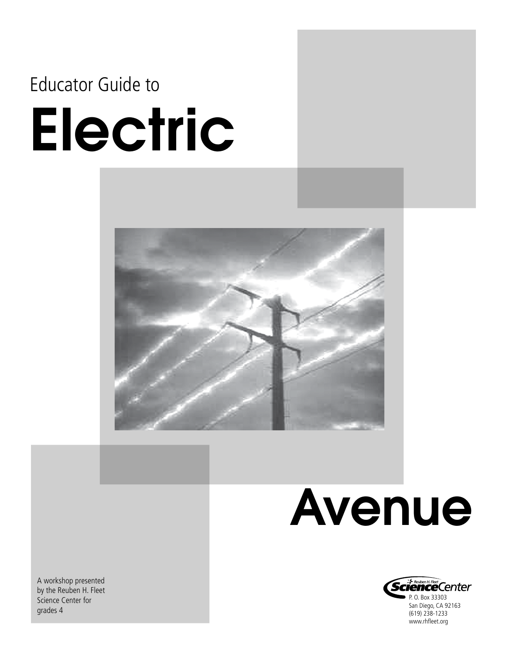### Educator Guide to

# Electric



## Avenue



A workshop presented by the Reuben H. Fleet Science Center for grades 4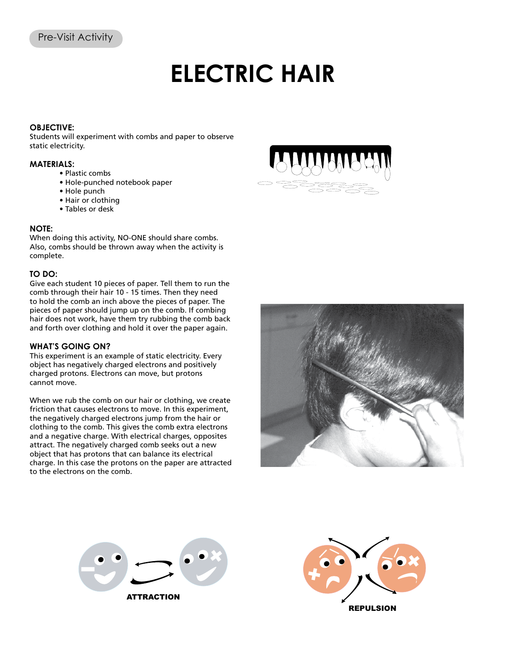## **ELECTRIC HAIR**

#### **OBJECTIVE:**

Students will experiment with combs and paper to observe static electricity.

#### **MATERIALS:**

- Plastic combs
- Hole-punched notebook paper
- Hole punch
- Hair or clothing
- Tables or desk

#### **NOTE:**

When doing this activity, NO-ONE should share combs. Also, combs should be thrown away when the activity is complete.

#### **TO DO:**

Give each student 10 pieces of paper. Tell them to run the comb through their hair 10 - 15 times. Then they need to hold the comb an inch above the pieces of paper. The pieces of paper should jump up on the comb. If combing hair does not work, have them try rubbing the comb back and forth over clothing and hold it over the paper again.

#### **WHAT'S GOING ON?**

This experiment is an example of static electricity. Every object has negatively charged electrons and positively charged protons. Electrons can move, but protons cannot move.

When we rub the comb on our hair or clothing, we create friction that causes electrons to move. In this experiment, the negatively charged electrons jump from the hair or clothing to the comb. This gives the comb extra electrons and a negative charge. With electrical charges, opposites attract. The negatively charged comb seeks out a new object that has protons that can balance its electrical charge. In this case the protons on the paper are attracted to the electrons on the comb.